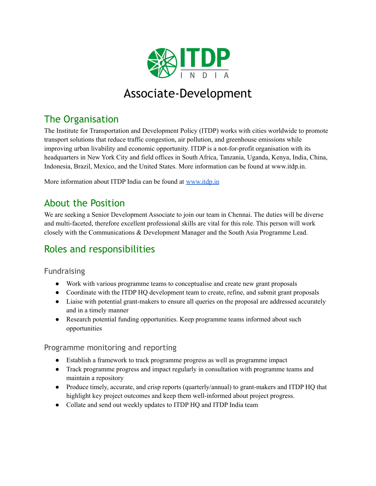

# Associate-Development

## The Organisation

The Institute for Transportation and Development Policy (ITDP) works with cities worldwide to promote transport solutions that reduce traffic congestion, air pollution, and greenhouse emissions while improving urban livability and economic opportunity. ITDP is a not-for-profit organisation with its headquarters in New York City and field offices in South Africa, Tanzania, Uganda, Kenya, India, China, Indonesia, Brazil, Mexico, and the United States. More information can be found at www.itdp.in.

More information about ITDP India can be found at [www.itdp.in](http://www.itdp.in)

### About the Position

We are seeking a Senior Development Associate to join our team in Chennai. The duties will be diverse and multi-faceted, therefore excellent professional skills are vital for this role. This person will work closely with the Communications & Development Manager and the South Asia Programme Lead.

## Roles and responsibilities

#### Fundraising

- Work with various programme teams to conceptualise and create new grant proposals
- Coordinate with the ITDP HQ development team to create, refine, and submit grant proposals
- Liaise with potential grant-makers to ensure all queries on the proposal are addressed accurately and in a timely manner
- Research potential funding opportunities. Keep programme teams informed about such opportunities

#### Programme monitoring and reporting

- Establish a framework to track programme progress as well as programme impact
- Track programme progress and impact regularly in consultation with programme teams and maintain a repository
- Produce timely, accurate, and crisp reports (quarterly/annual) to grant-makers and ITDP HQ that highlight key project outcomes and keep them well-informed about project progress.
- Collate and send out weekly updates to ITDP HQ and ITDP India team